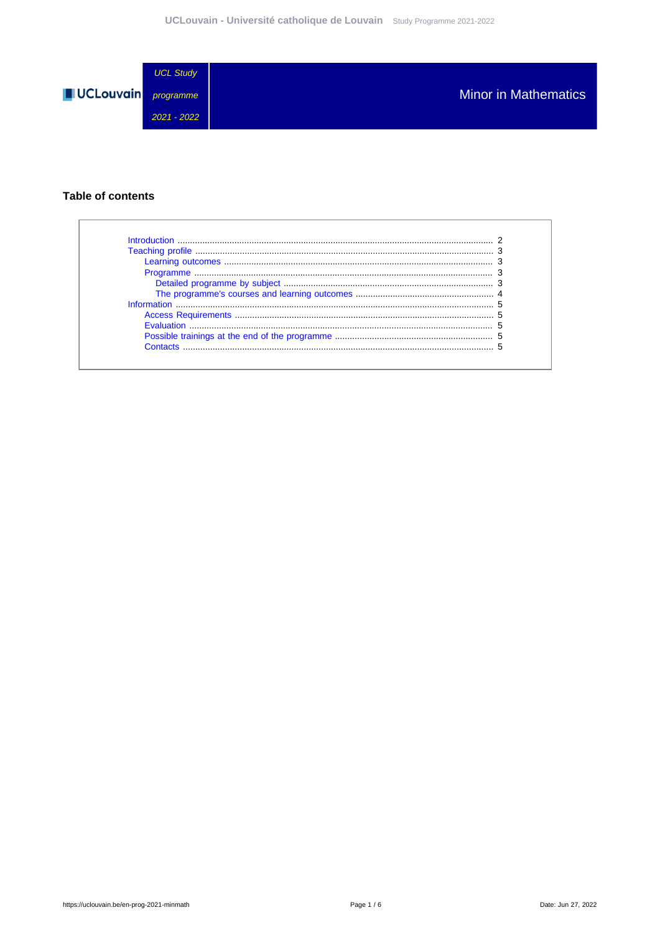

### **Table of contents**

| Introduction      |  |
|-------------------|--|
|                   |  |
|                   |  |
|                   |  |
|                   |  |
|                   |  |
|                   |  |
|                   |  |
| <b>Evaluation</b> |  |
|                   |  |
| Contacts          |  |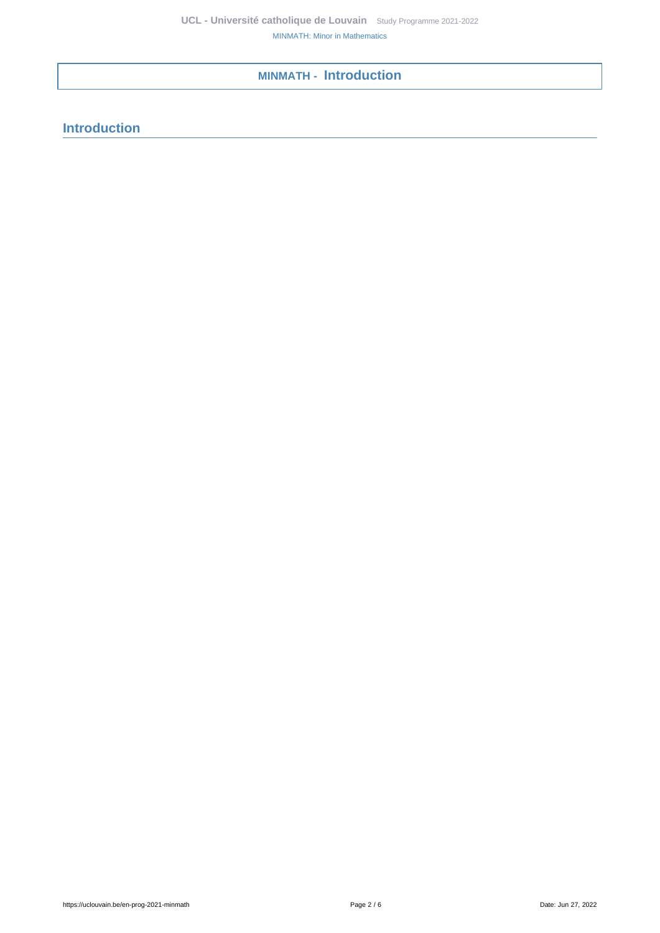# <span id="page-1-0"></span>**MINMATH - Introduction**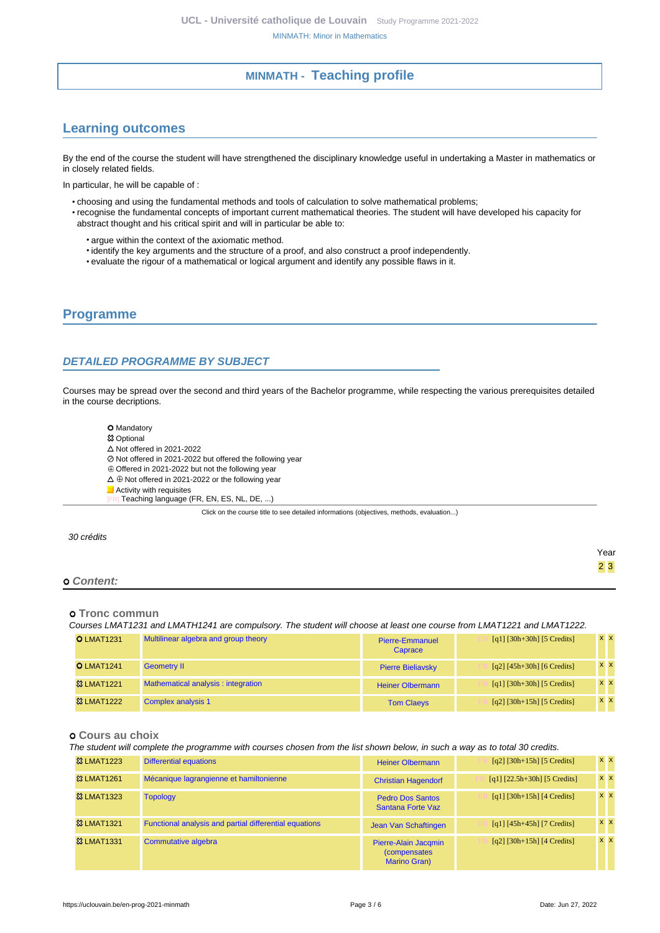# **MINMATH - Teaching profile**

# <span id="page-2-1"></span><span id="page-2-0"></span>**Learning outcomes**

By the end of the course the student will have strengthened the disciplinary knowledge useful in undertaking a Master in mathematics or in closely related fields.

In particular, he will be capable of :

- choosing and using the fundamental methods and tools of calculation to solve mathematical problems; • recognise the fundamental concepts of important current mathematical theories. The student will have developed his capacity for
	- abstract thought and his critical spirit and will in particular be able to:
		- argue within the context of the axiomatic method.
		- identify the key arguments and the structure of a proof, and also construct a proof independently.
		- evaluate the rigour of a mathematical or logical argument and identify any possible flaws in it.

## <span id="page-2-2"></span>**Programme**

### <span id="page-2-3"></span>**DETAILED PROGRAMME BY SUBJECT**

Courses may be spread over the second and third years of the Bachelor programme, while respecting the various prerequisites detailed in the course decriptions.

- O Mandatory **83 Optional**  $\triangle$  Not offered in 2021-2022 Not offered in 2021-2022 but offered the following year Offered in 2021-2022 but not the following year  $\Delta \oplus$  Not offered in 2021-2022 or the following year
- **Activity with requisites**
- Teaching language (FR, EN, ES, NL, DE, ...)

Click on the course title to see detailed informations (objectives, methods, evaluation...)

|            | Year             |
|------------|------------------|
|            | $2 \overline{3}$ |
| o Content: |                  |

#### **Tronc commun**

30 crédits

Courses LMAT1231 and LMATH1241 are compulsory. The student will choose at least one course from LMAT1221 and LMAT1222.

| <b>O LMAT1231</b>      | Multilinear algebra and group theory | Pierre-Emmanuel<br>Caprace | $[q1] [30h+30h] [5 Credits]$ | $X$ $X$    |
|------------------------|--------------------------------------|----------------------------|------------------------------|------------|
| <b>O LMAT1241</b>      | <b>Geometry II</b>                   | <b>Pierre Bieliavsky</b>   | $[q2] [45h+30h] [6 Credits]$ | <b>x x</b> |
| <b>&amp;3 LMAT1221</b> | Mathematical analysis : integration  | <b>Heiner Olbermann</b>    | $[q1] [30h+30h] [5 Credits]$ | $X$ $X$    |
| <b>&amp; LMAT1222</b>  | <b>Complex analysis 1</b>            | <b>Tom Claeys</b>          | $[q2]$ [30h+15h] [5 Credits] | <b>XX</b>  |

#### **Cours au choix**

The student will complete the programme with courses chosen from the list shown below, in such a way as to total 30 credits.

| <b>&amp; LMAT1223</b> | <b>Differential equations</b>                          | <b>Heiner Olbermann</b>                                             | $\lceil q2 \rceil \lceil 30h+15h \rceil \lceil 5 \right]$ | <b>XX</b>      |
|-----------------------|--------------------------------------------------------|---------------------------------------------------------------------|-----------------------------------------------------------|----------------|
| <b>&amp; LMAT1261</b> | Mécanique lagrangienne et hamiltonienne                | <b>Christian Hagendorf</b>                                          | $[q1]$ $[22.5h+30h]$ $[5$ Credits]                        | $x \mid x$     |
| <b>&amp; LMAT1323</b> | <b>Topology</b>                                        | <b>Pedro Dos Santos</b><br>Santana Forte Vaz                        | $[q1]$ [30h+15h] [4 Credits]                              | $x \mathbf{X}$ |
| <b>&amp; LMAT1321</b> | Functional analysis and partial differential equations | Jean Van Schaftingen                                                | $[q1] [45h+45h] [7 Credits]$                              | $x \mathbf{X}$ |
| <b>&amp; LMAT1331</b> | Commutative algebra                                    | Pierre-Alain Jacqmin<br><i>(compensates)</i><br><b>Marino Gran)</b> | $[q2]$ [30h+15h] [4 Credits]                              | $x \mathbf{X}$ |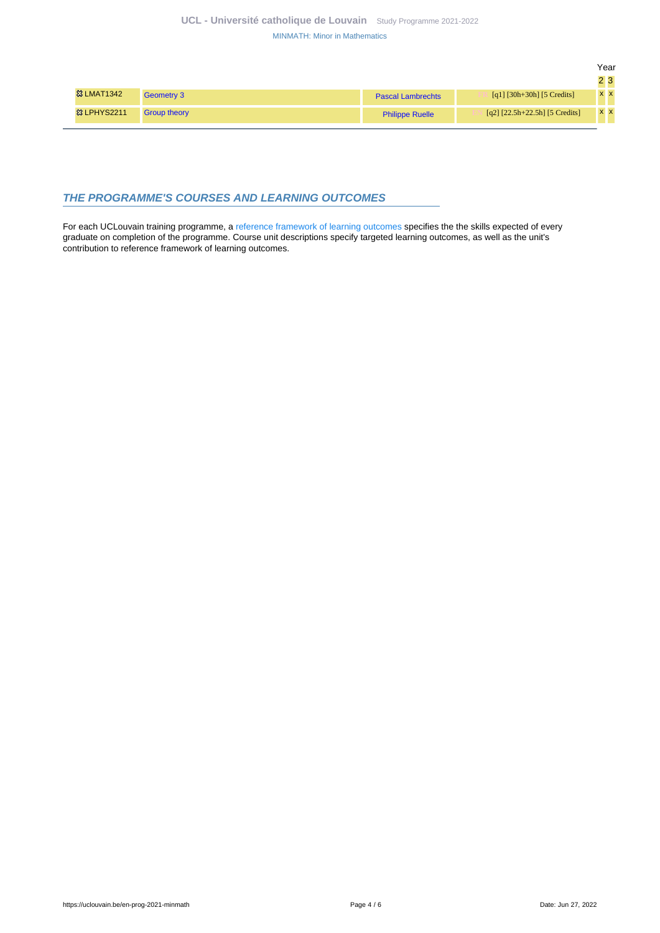|                        |                     |                          |                                  | Year |                 |
|------------------------|---------------------|--------------------------|----------------------------------|------|-----------------|
|                        |                     |                          |                                  |      | $2\overline{3}$ |
| <b>&amp;3 LMAT1342</b> | Geometry 3          | <b>Pascal Lambrechts</b> | [q1] $[30h+30h]$ [5 Credits]     |      | <b>XX</b>       |
| <sup>3</sup> LPHYS2211 | <b>Group theory</b> | <b>Philippe Ruelle</b>   | $[q2]$ [22.5h+22.5h] [5 Credits] |      | <b>XX</b>       |
|                        |                     |                          |                                  |      |                 |

### <span id="page-3-0"></span>**THE PROGRAMME'S COURSES AND LEARNING OUTCOMES**

For each UCLouvain training programme, a [reference framework of learning outcomes](https://uclouvain.be/en-prog-2021-minmath-competences_et_acquis.html) specifies the the skills expected of every graduate on completion of the programme. Course unit descriptions specify targeted learning outcomes, as well as the unit's contribution to reference framework of learning outcomes.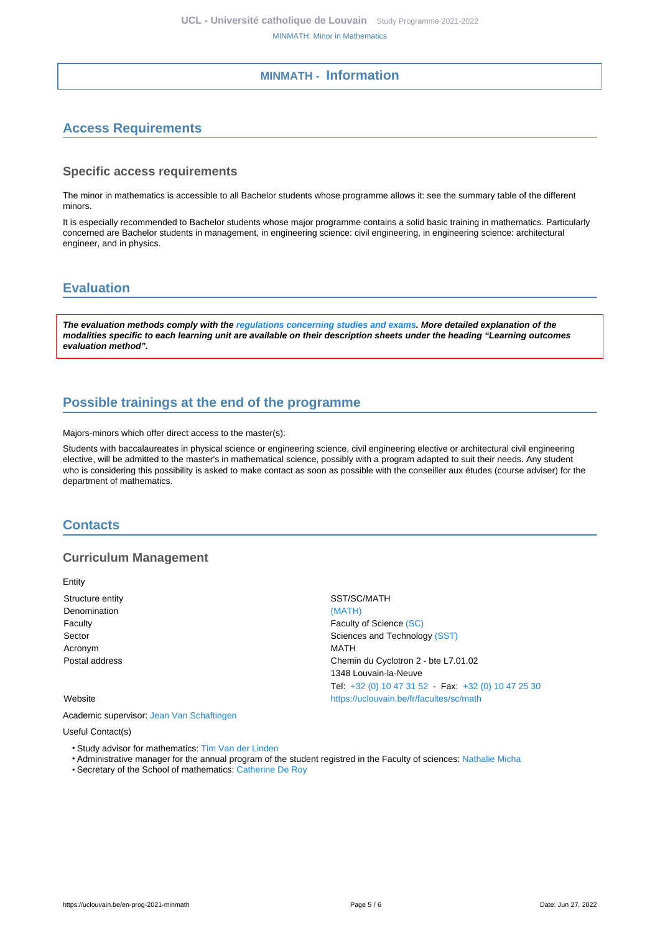## **MINMATH - Information**

# <span id="page-4-1"></span><span id="page-4-0"></span>**Access Requirements**

#### **Specific access requirements**

The minor in mathematics is accessible to all Bachelor students whose programme allows it: see the summary table of the different minors.

It is especially recommended to Bachelor students whose major programme contains a solid basic training in mathematics. Particularly concerned are Bachelor students in management, in engineering science: civil engineering, in engineering science: architectural engineer, and in physics.

## <span id="page-4-2"></span>**Evaluation**

**The evaluation methods comply with the [regulations concerning studies and exams](https://uclouvain.be/fr/decouvrir/rgee.html). More detailed explanation of the modalities specific to each learning unit are available on their description sheets under the heading "Learning outcomes evaluation method".**

# <span id="page-4-3"></span>**Possible trainings at the end of the programme**

Majors-minors which offer direct access to the master(s):

Students with baccalaureates in physical science or engineering science, civil engineering elective or architectural civil engineering elective, will be admitted to the master's in mathematical science, possibly with a program adapted to suit their needs. Any student who is considering this possibility is asked to make contact as soon as possible with the conseiller aux études (course adviser) for the department of mathematics.

### <span id="page-4-4"></span>**Contacts**

### **Curriculum Management**

Entity

Structure entity SST/SC/MATH Denomination [\(MATH\)](https://uclouvain.be/repertoires/entites/math) Faculty **Faculty Faculty** of Science [\(SC\)](https://uclouvain.be/repertoires/entites/sc) Sector Sector Sector Sciences and Technology [\(SST\)](https://uclouvain.be/repertoires/entites/sst) Acronym MATH Postal address Chemin du Cyclotron 2 - bte L7.01.02

#### Website <https://uclouvain.be/fr/facultes/sc/math>

Academic supervisor: [Jean Van Schaftingen](https://uclouvain.be/repertoires/jean.vanschaftingen)

#### Useful Contact(s)

- Study advisor for mathematics: [Tim Van der Linden](https://uclouvain.be/repertoires/tim.vanderlinden)
- Administrative manager for the annual program of the student registred in the Faculty of sciences: [Nathalie Micha](https://uclouvain.be/repertoires/nathalie.micha)
- Secretary of the School of mathematics: [Catherine De Roy](https://uclouvain.be/repertoires/catherine.deroy)

1348 Louvain-la-Neuve

Tel: [+32 \(0\) 10 47 31 52](https://uclouvain.be/tel:+3210473152) - Fax: [+32 \(0\) 10 47 25 30](https://uclouvain.be/tel:+3210472530)